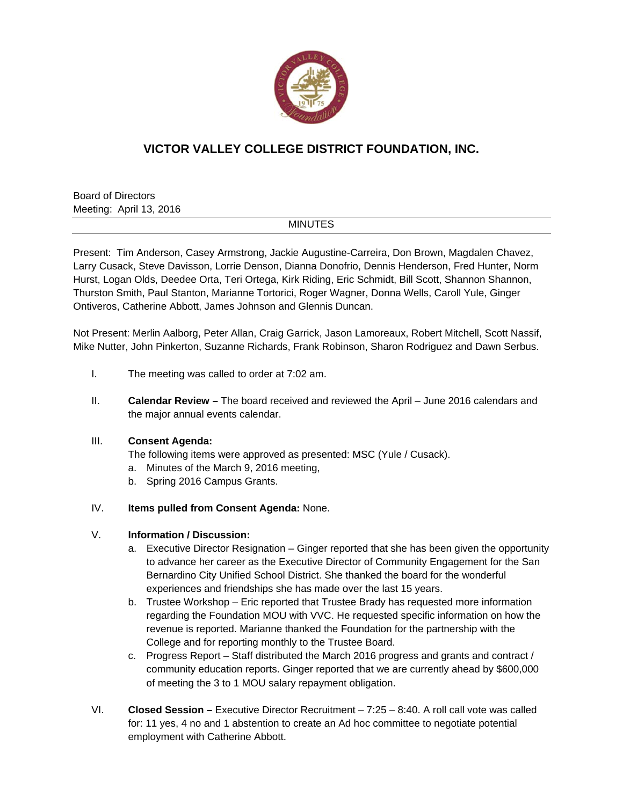

# **VICTOR VALLEY COLLEGE DISTRICT FOUNDATION, INC.**

Board of Directors Meeting: April 13, 2016

## MINUTES

Present: Tim Anderson, Casey Armstrong, Jackie Augustine-Carreira, Don Brown, Magdalen Chavez, Larry Cusack, Steve Davisson, Lorrie Denson, Dianna Donofrio, Dennis Henderson, Fred Hunter, Norm Hurst, Logan Olds, Deedee Orta, Teri Ortega, Kirk Riding, Eric Schmidt, Bill Scott, Shannon Shannon, Thurston Smith, Paul Stanton, Marianne Tortorici, Roger Wagner, Donna Wells, Caroll Yule, Ginger Ontiveros, Catherine Abbott, James Johnson and Glennis Duncan.

Not Present: Merlin Aalborg, Peter Allan, Craig Garrick, Jason Lamoreaux, Robert Mitchell, Scott Nassif, Mike Nutter, John Pinkerton, Suzanne Richards, Frank Robinson, Sharon Rodriguez and Dawn Serbus.

- I. The meeting was called to order at 7:02 am.
- II. **Calendar Review** The board received and reviewed the April June 2016 calendars and the major annual events calendar.

### III. **Consent Agenda:**

The following items were approved as presented: MSC (Yule / Cusack).

- a. Minutes of the March 9, 2016 meeting,
- b. Spring 2016 Campus Grants.

### IV. **Items pulled from Consent Agenda:** None.

### V. **Information / Discussion:**

- a. Executive Director Resignation Ginger reported that she has been given the opportunity to advance her career as the Executive Director of Community Engagement for the San Bernardino City Unified School District. She thanked the board for the wonderful experiences and friendships she has made over the last 15 years.
- b. Trustee Workshop Eric reported that Trustee Brady has requested more information regarding the Foundation MOU with VVC. He requested specific information on how the revenue is reported. Marianne thanked the Foundation for the partnership with the College and for reporting monthly to the Trustee Board.
- c. Progress Report Staff distributed the March 2016 progress and grants and contract / community education reports. Ginger reported that we are currently ahead by \$600,000 of meeting the 3 to 1 MOU salary repayment obligation.
- VI. **Closed Session** Executive Director Recruitment 7:25 8:40. A roll call vote was called for: 11 yes, 4 no and 1 abstention to create an Ad hoc committee to negotiate potential employment with Catherine Abbott.